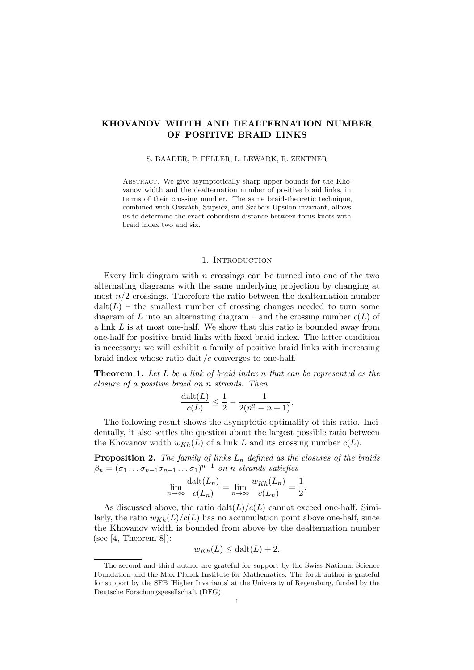# KHOVANOV WIDTH AND DEALTERNATION NUMBER OF POSITIVE BRAID LINKS

#### S. BAADER, P. FELLER, L. LEWARK, R. ZENTNER

Abstract. We give asymptotically sharp upper bounds for the Khovanov width and the dealternation number of positive braid links, in terms of their crossing number. The same braid-theoretic technique, combined with Ozsváth, Stipsicz, and Szabó's Upsilon invariant, allows us to determine the exact cobordism distance between torus knots with braid index two and six.

#### 1. INTRODUCTION

Every link diagram with  $n$  crossings can be turned into one of the two alternating diagrams with the same underlying projection by changing at most  $n/2$  crossings. Therefore the ratio between the dealternation number  $\text{dalt}(L)$  – the smallest number of crossing changes needed to turn some diagram of L into an alternating diagram – and the crossing number  $c(L)$  of a link L is at most one-half. We show that this ratio is bounded away from one-half for positive braid links with fixed braid index. The latter condition is necessary; we will exhibit a family of positive braid links with increasing braid index whose ratio dalt  $/c$  converges to one-half.

<span id="page-0-0"></span>Theorem 1. Let L be a link of braid index n that can be represented as the closure of a positive braid on n strands. Then

$$
\frac{\mathrm{dalt}(L)}{c(L)} \le \frac{1}{2} - \frac{1}{2(n^2 - n + 1)}.
$$

The following result shows the asymptotic optimality of this ratio. Incidentally, it also settles the question about the largest possible ratio between the Khovanov width  $w_{Kh}(L)$  of a link L and its crossing number  $c(L)$ .

<span id="page-0-1"></span>**Proposition 2.** The family of links  $L_n$  defined as the closures of the braids  $\beta_n = (\sigma_1 \dots \sigma_{n-1} \sigma_{n-1} \dots \sigma_1)^{n-1}$  on n strands satisfies

$$
\lim_{n \to \infty} \frac{\text{dalt}(L_n)}{c(L_n)} = \lim_{n \to \infty} \frac{w_{Kh}(L_n)}{c(L_n)} = \frac{1}{2}.
$$

As discussed above, the ratio  $\text{dalt}(L)/c(L)$  cannot exceed one-half. Similarly, the ratio  $w_{Kh}(L)/c(L)$  has no accumulation point above one-half, since the Khovanov width is bounded from above by the dealternation number (see  $[4,$  Theorem 8]):

$$
w_{Kh}(L) \le \text{dalt}(L) + 2.
$$

The second and third author are grateful for support by the Swiss National Science Foundation and the Max Planck Institute for Mathematics. The forth author is grateful for support by the SFB 'Higher Invariants' at the University of Regensburg, funded by the Deutsche Forschungsgesellschaft (DFG).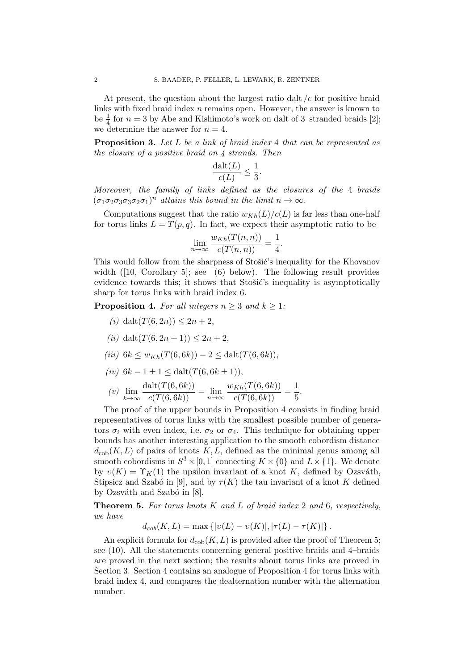At present, the question about the largest ratio dalt  $/c$  for positive braid links with fixed braid index  $n$  remains open. However, the answer is known to be  $\frac{1}{4}$  for  $n = 3$  by Abe and Kishimoto's work on dalt of 3-stranded braids [\[2\]](#page-9-1); we determine the answer for  $n = 4$ .

<span id="page-1-2"></span>**Proposition 3.** Let L be a link of braid index 4 that can be represented as the closure of a positive braid on  $\lambda$  strands. Then

$$
\frac{\text{dalt}(L)}{c(L)} \le \frac{1}{3}.
$$

Moreover, the family of links defined as the closures of the 4–braids  $(\sigma_1 \sigma_2 \sigma_3 \sigma_3 \sigma_2 \sigma_1)^n$  attains this bound in the limit  $n \to \infty$ .

Computations suggest that the ratio  $w_{Kh}(L)/c(L)$  is far less than one-half for torus links  $L = T(p,q)$ . In fact, we expect their asymptotic ratio to be

$$
\lim_{n \to \infty} \frac{w_{Kh}(T(n,n))}{c(T(n,n))} = \frac{1}{4}.
$$

This would follow from the sharpness of Stošić's inequality for the Khovanov width  $(10, \text{ Corollary 5}];$  see  $(6)$  below). The following result provides evidence towards this; it shows that Stošić's inequality is asymptotically sharp for torus links with braid index 6.

<span id="page-1-0"></span>**Proposition 4.** For all integers  $n \geq 3$  and  $k \geq 1$ :

- (i) dalt $(T(6, 2n)) < 2n + 2$ ,
- (ii) dalt $(T(6, 2n + 1)) < 2n + 2$ ,
- (iii)  $6k \leq w_{Kh}(T(6, 6k)) 2 \leq \text{dalt}(T(6, 6k)),$
- (iv)  $6k 1 \pm 1 \leq \text{dalt}(T(6, 6k \pm 1)),$
- $(v)$   $\lim_{k\to\infty}$  $\frac{\mathrm{dalt}(T(6,6k))}{c(T(6,6k))} = \lim_{n\to\infty} \frac{w_{Kh}(T(6,6k))}{c(T(6,6k))} = \frac{1}{5}$  $\frac{1}{5}$ .

The proof of the upper bounds in [Proposition 4](#page-1-0) consists in finding braid representatives of torus links with the smallest possible number of generators  $\sigma_i$  with even index, i.e.  $\sigma_2$  or  $\sigma_4$ . This technique for obtaining upper bounds has another interesting application to the smooth cobordism distance  $d_{\text{coh}}(K, L)$  of pairs of knots K, L, defined as the minimal genus among all smooth cobordisms in  $S^3 \times [0, 1]$  connecting  $K \times \{0\}$  and  $L \times \{1\}$ . We denote by  $v(K) = \Upsilon_K(1)$  the upsilon invariant of a knot K, defined by Ozsváth, Stipsicz and Szabó in [\[9\]](#page-9-3), and by  $\tau(K)$  the tau invariant of a knot K defined by Ozsváth and Szabó in [\[8\]](#page-9-4).

<span id="page-1-1"></span>**Theorem 5.** For torus knots  $K$  and  $L$  of braid index 2 and 6, respectively, we have

 $d_{cob}(K, L) = \max \{|v(L) - v(K)|, |\tau(L) - \tau(K)|\}.$ 

An explicit formula for  $d_{\text{cob}}(K, L)$  is provided after the proof of [Theorem 5;](#page-1-1) see [\(10\)](#page-8-0). All the statements concerning general positive braids and 4–braids are proved in the next section; the results about torus links are proved in [Section 3.](#page-4-0) [Section 4](#page-8-1) contains an analogue of [Proposition 4](#page-1-0) for torus links with braid index 4, and compares the dealternation number with the alternation number.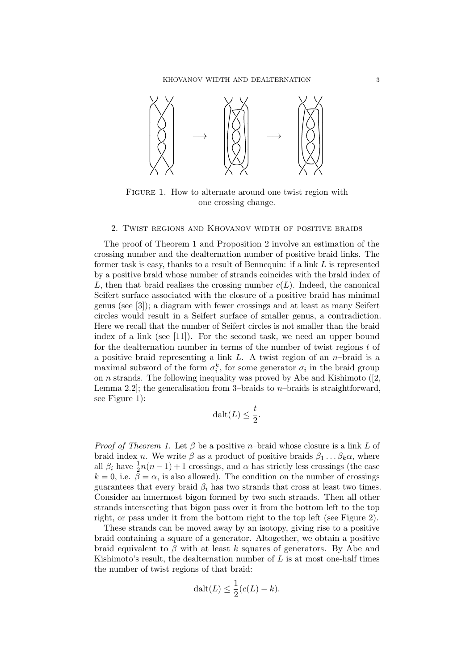<span id="page-2-0"></span>

FIGURE 1. How to alternate around one twist region with one crossing change.

#### 2. Twist regions and Khovanov width of positive braids

<span id="page-2-1"></span>The proof of [Theorem 1](#page-0-0) and [Proposition 2](#page-0-1) involve an estimation of the crossing number and the dealternation number of positive braid links. The former task is easy, thanks to a result of Bennequin: if a link  $L$  is represented by a positive braid whose number of strands coincides with the braid index of L, then that braid realises the crossing number  $c(L)$ . Indeed, the canonical Seifert surface associated with the closure of a positive braid has minimal genus (see [\[3\]](#page-9-5)); a diagram with fewer crossings and at least as many Seifert circles would result in a Seifert surface of smaller genus, a contradiction. Here we recall that the number of Seifert circles is not smaller than the braid index of a link (see [\[11\]](#page-9-6)). For the second task, we need an upper bound for the dealternation number in terms of the number of twist regions  $t$  of a positive braid representing a link  $L$ . A twist region of an  $n$ -braid is a maximal subword of the form  $\sigma_i^k$ , for some generator  $\sigma_i$  in the braid group on *n* strands. The following inequality was proved by Abe and Kishimoto  $(2, 1)$ Lemma 2.2]; the generalisation from 3-braids to *n*-braids is straightforward. see [Figure 1\)](#page-2-0):

$$
\mathrm{dalt}(L) \le \frac{t}{2}.
$$

*Proof of [Theorem 1.](#page-0-0)* Let  $\beta$  be a positive *n*–braid whose closure is a link L of braid index n. We write  $\beta$  as a product of positive braids  $\beta_1 \dots \beta_k \alpha$ , where all  $\beta_i$  have  $\frac{1}{2}n(n-1)+1$  crossings, and  $\alpha$  has strictly less crossings (the case  $k = 0$ , i.e.  $\bar{\beta} = \alpha$ , is also allowed). The condition on the number of crossings guarantees that every braid  $\beta_i$  has two strands that cross at least two times. Consider an innermost bigon formed by two such strands. Then all other strands intersecting that bigon pass over it from the bottom left to the top right, or pass under it from the bottom right to the top left (see [Figure 2\)](#page-3-0).

These strands can be moved away by an isotopy, giving rise to a positive braid containing a square of a generator. Altogether, we obtain a positive braid equivalent to  $\beta$  with at least k squares of generators. By Abe and Kishimoto's result, the dealternation number of  $L$  is at most one-half times the number of twist regions of that braid:

$$
\operatorname{dalt}(L) \le \frac{1}{2}(c(L) - k).
$$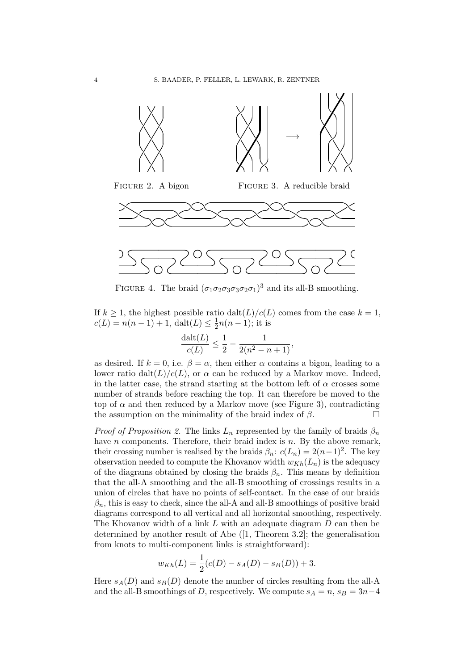<span id="page-3-0"></span>

<span id="page-3-1"></span>FIGURE 4. The braid  $(\sigma_1 \sigma_2 \sigma_3 \sigma_3 \sigma_2 \sigma_1)^3$  and its all-B smoothing.

If  $k \geq 1$ , the highest possible ratio  $\frac{dat(L)}{c(L)}$  comes from the case  $k = 1$ ,  $c(L) = n(n-1) + 1$ , dalt $(L) \leq \frac{1}{2}$  $\frac{1}{2}n(n-1)$ ; it is

$$
\frac{\mathrm{dalt}(L)}{c(L)} \le \frac{1}{2} - \frac{1}{2(n^2 - n + 1)},
$$

as desired. If  $k = 0$ , i.e.  $\beta = \alpha$ , then either  $\alpha$  contains a bigon, leading to a lower ratio dalt $(L)/c(L)$ , or  $\alpha$  can be reduced by a Markov move. Indeed, in the latter case, the strand starting at the bottom left of  $\alpha$  crosses some number of strands before reaching the top. It can therefore be moved to the top of  $\alpha$  and then reduced by a Markov move (see [Figure 3\)](#page-3-0), contradicting the assumption on the minimality of the braid index of  $\beta$ .

*Proof of [Proposition 2.](#page-0-1)* The links  $L_n$  represented by the family of braids  $\beta_n$ have *n* components. Therefore, their braid index is *n*. By the above remark, their crossing number is realised by the braids  $\beta_n$ :  $c(L_n) = 2(n-1)^2$ . The key observation needed to compute the Khovanov width  $w_{Kh}(L_n)$  is the adequacy of the diagrams obtained by closing the braids  $\beta_n$ . This means by definition that the all-A smoothing and the all-B smoothing of crossings results in a union of circles that have no points of self-contact. In the case of our braids  $\beta_n$ , this is easy to check, since the all-A and all-B smoothings of positive braid diagrams correspond to all vertical and all horizontal smoothing, respectively. The Khovanov width of a link L with an adequate diagram D can then be determined by another result of Abe ([\[1,](#page-9-7) Theorem 3.2]; the generalisation from knots to multi-component links is straightforward):

$$
w_{Kh}(L) = \frac{1}{2}(c(D) - s_A(D) - s_B(D)) + 3.
$$

Here  $s_A(D)$  and  $s_B(D)$  denote the number of circles resulting from the all-A and the all-B smoothings of D, respectively. We compute  $s_A = n$ ,  $s_B = 3n-4$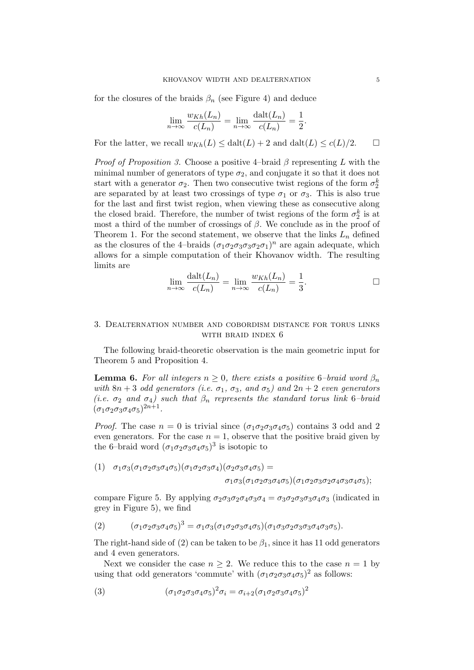for the closures of the braids  $\beta_n$  (see [Figure 4\)](#page-3-1) and deduce

$$
\lim_{n \to \infty} \frac{w_{Kh}(L_n)}{c(L_n)} = \lim_{n \to \infty} \frac{\text{dalt}(L_n)}{c(L_n)} = \frac{1}{2}.
$$

For the latter, we recall  $w_{Kh}(L) \leq \text{dalt}(L) + 2$  and  $\text{dalt}(L) \leq c(L)/2$ .  $\Box$ 

*Proof of [Proposition 3.](#page-1-2)* Choose a positive 4–braid  $\beta$  representing L with the minimal number of generators of type  $\sigma_2$ , and conjugate it so that it does not start with a generator  $\sigma_2$ . Then two consecutive twist regions of the form  $\sigma_2^k$ are separated by at least two crossings of type  $\sigma_1$  or  $\sigma_3$ . This is also true for the last and first twist region, when viewing these as consecutive along the closed braid. Therefore, the number of twist regions of the form  $\sigma_2^k$  is at most a third of the number of crossings of  $\beta$ . We conclude as in the proof of [Theorem 1.](#page-0-0) For the second statement, we observe that the links  $L_n$  defined as the closures of the 4-braids  $(\sigma_1 \sigma_2 \sigma_3 \sigma_3 \sigma_2 \sigma_1)^n$  are again adequate, which allows for a simple computation of their Khovanov width. The resulting limits are

$$
\lim_{n \to \infty} \frac{\text{dalt}(L_n)}{c(L_n)} = \lim_{n \to \infty} \frac{w_{Kh}(L_n)}{c(L_n)} = \frac{1}{3}.
$$

## <span id="page-4-0"></span>3. Dealternation number and cobordism distance for torus links with braid index 6

The following braid-theoretic observation is the main geometric input for [Theorem 5](#page-1-1) and [Proposition 4.](#page-1-0)

<span id="page-4-4"></span>**Lemma 6.** For all integers  $n \geq 0$ , there exists a positive 6-braid word  $\beta_n$ with  $8n + 3$  odd generators (i.e.  $\sigma_1$ ,  $\sigma_3$ , and  $\sigma_5$ ) and  $2n + 2$  even generators (i.e.  $\sigma_2$  and  $\sigma_4$ ) such that  $\beta_n$  represents the standard torus link 6-braid  $(\sigma_1 \sigma_2 \sigma_3 \sigma_4 \sigma_5)^{2n+1}.$ 

*Proof.* The case  $n = 0$  is trivial since  $(\sigma_1 \sigma_2 \sigma_3 \sigma_4 \sigma_5)$  contains 3 odd and 2 even generators. For the case  $n = 1$ , observe that the positive braid given by the 6-braid word  $(\sigma_1 \sigma_2 \sigma_3 \sigma_4 \sigma_5)^3$  is isotopic to

<span id="page-4-2"></span>(1) 
$$
\sigma_1 \sigma_3 (\sigma_1 \sigma_2 \sigma_3 \sigma_4 \sigma_5) (\sigma_1 \sigma_2 \sigma_3 \sigma_4) (\sigma_2 \sigma_3 \sigma_4 \sigma_5) =
$$

$$
\sigma_1 \sigma_3 (\sigma_1 \sigma_2 \sigma_3 \sigma_4 \sigma_5) (\sigma_1 \sigma_2 \sigma_3 \sigma_2 \sigma_4 \sigma_3 \sigma_4 \sigma_5);
$$

compare [Figure 5.](#page-5-0) By applying  $\sigma_2 \sigma_3 \sigma_2 \sigma_4 \sigma_3 \sigma_4 = \sigma_3 \sigma_2 \sigma_3 \sigma_3 \sigma_4 \sigma_3$  (indicated in grey in [Figure 5\)](#page-5-0), we find

<span id="page-4-1"></span>
$$
(2) \qquad (\sigma_1 \sigma_2 \sigma_3 \sigma_4 \sigma_5)^3 = \sigma_1 \sigma_3 (\sigma_1 \sigma_2 \sigma_3 \sigma_4 \sigma_5) (\sigma_1 \sigma_3 \sigma_2 \sigma_3 \sigma_3 \sigma_4 \sigma_3 \sigma_5).
$$

The right-hand side of [\(2\)](#page-4-1) can be taken to be  $\beta_1$ , since it has 11 odd generators and 4 even generators.

Next we consider the case  $n \geq 2$ . We reduce this to the case  $n = 1$  by using that odd generators 'commute' with  $(\sigma_1 \sigma_2 \sigma_3 \sigma_4 \sigma_5)^2$  as follows:

<span id="page-4-3"></span>(3) 
$$
(\sigma_1 \sigma_2 \sigma_3 \sigma_4 \sigma_5)^2 \sigma_i = \sigma_{i+2} (\sigma_1 \sigma_2 \sigma_3 \sigma_4 \sigma_5)^2
$$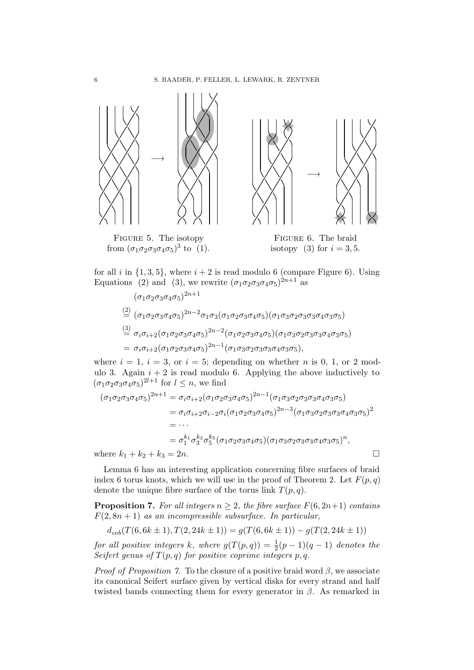<span id="page-5-0"></span>

for all i in  $\{1, 3, 5\}$ , where  $i + 2$  is read modulo 6 (compare [Figure 6\)](#page-5-0). Using Equations [\(2\)](#page-4-1) and [\(3\),](#page-4-3) we rewrite  $(\sigma_1 \sigma_2 \sigma_3 \sigma_4 \sigma_5)^{2n+1}$  as

 $\sqrt{2n+1}$ 

$$
(\sigma_1 \sigma_2 \sigma_3 \sigma_4 \sigma_5)^{2n+1}
$$
\n
$$
\stackrel{(2)}{=} (\sigma_1 \sigma_2 \sigma_3 \sigma_4 \sigma_5)^{2n-2} \sigma_1 \sigma_3 (\sigma_1 \sigma_2 \sigma_3 \sigma_4 \sigma_5) (\sigma_1 \sigma_3 \sigma_2 \sigma_3 \sigma_3 \sigma_4 \sigma_3 \sigma_5)
$$
\n
$$
\stackrel{(3)}{=} \sigma_i \sigma_{i+2} (\sigma_1 \sigma_2 \sigma_3 \sigma_4 \sigma_5)^{2n-2} (\sigma_1 \sigma_2 \sigma_3 \sigma_4 \sigma_5) (\sigma_1 \sigma_3 \sigma_2 \sigma_3 \sigma_3 \sigma_4 \sigma_3 \sigma_5)
$$
\n
$$
= \sigma_i \sigma_{i+2} (\sigma_1 \sigma_2 \sigma_3 \sigma_4 \sigma_5)^{2n-1} (\sigma_1 \sigma_3 \sigma_2 \sigma_3 \sigma_3 \sigma_4 \sigma_3 \sigma_5),
$$

where  $i = 1$ ,  $i = 3$ , or  $i = 5$ ; depending on whether *n* is 0, 1, or 2 modulo 3. Again  $i + 2$  is read modulo 6. Applying the above inductively to  $(\sigma_1 \sigma_2 \sigma_3 \sigma_4 \sigma_5)^{2l+1}$  for  $l \leq n$ , we find

$$
(\sigma_1 \sigma_2 \sigma_3 \sigma_4 \sigma_5)^{2n+1} = \sigma_i \sigma_{i+2} (\sigma_1 \sigma_2 \sigma_3 \sigma_4 \sigma_5)^{2n-1} (\sigma_1 \sigma_3 \sigma_2 \sigma_3 \sigma_3 \sigma_4 \sigma_3 \sigma_5)
$$
  
\n
$$
= \sigma_i \sigma_{i+2} \sigma_{i-2} \sigma_i (\sigma_1 \sigma_2 \sigma_3 \sigma_4 \sigma_5)^{2n-3} (\sigma_1 \sigma_3 \sigma_2 \sigma_3 \sigma_3 \sigma_4 \sigma_3 \sigma_5)^2
$$
  
\n
$$
= \cdots
$$
  
\n
$$
= \sigma_1^{k_1} \sigma_3^{k_3} \sigma_5^{k_5} (\sigma_1 \sigma_2 \sigma_3 \sigma_4 \sigma_5) (\sigma_1 \sigma_3 \sigma_2 \sigma_3 \sigma_3 \sigma_4 \sigma_3 \sigma_5)^n,
$$
  
\nwhere  $k_1 + k_2 + k_3 = 2n$ .

[Lemma 6](#page-4-4) has an interesting application concerning fibre surfaces of braid index 6 torus knots, which we will use in the proof of Theorem 2. Let  $F(p,q)$ denote the unique fibre surface of the torus link  $T(p, q)$ .

<span id="page-5-1"></span>**Proposition 7.** For all integers  $n \geq 2$ , the fibre surface  $F(6, 2n+1)$  contains  $F(2, 8n + 1)$  as an incompressible subsurface. In particular,

$$
d_{cob}(T(6,6k \pm 1), T(2,24k \pm 1)) = g(T(6,6k \pm 1)) - g(T(2,24k \pm 1))
$$

for all positive integers k, where  $g(T(p,q)) = \frac{1}{2}(p-1)(q-1)$  denotes the Seifert genus of  $T(p, q)$  for positive coprime integers p, q.

*Proof of [Proposition 7.](#page-5-1)* To the closure of a positive braid word  $\beta$ , we associate its canonical Seifert surface given by vertical disks for every strand and half twisted bands connecting them for every generator in  $\beta$ . As remarked in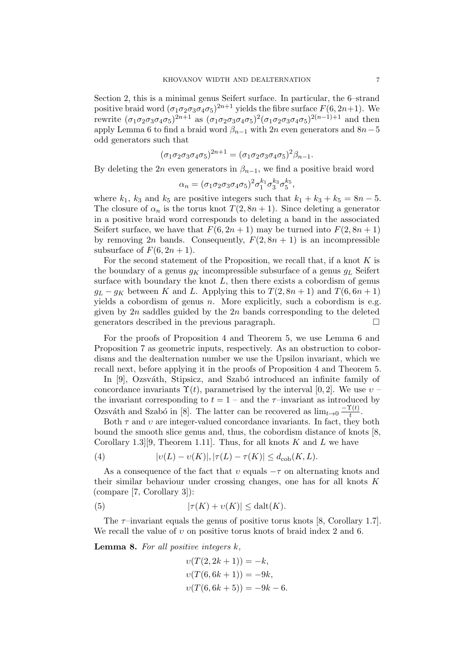[Section 2,](#page-2-1) this is a minimal genus Seifert surface. In particular, the 6–strand positive braid word  $(\sigma_1 \sigma_2 \sigma_3 \sigma_4 \sigma_5)^{2n+1}$  yields the fibre surface  $F(6, 2n+1)$ . We rewrite  $(\sigma_1 \sigma_2 \sigma_3 \sigma_4 \sigma_5)^{2n+1}$  as  $(\sigma_1 \sigma_2 \sigma_3 \sigma_4 \sigma_5)^2 (\sigma_1 \sigma_2 \sigma_3 \sigma_4 \sigma_5)^{2(n-1)+1}$  and then apply [Lemma 6](#page-4-4) to find a braid word  $\beta_{n-1}$  with 2n even generators and  $8n-5$ odd generators such that

$$
(\sigma_1 \sigma_2 \sigma_3 \sigma_4 \sigma_5)^{2n+1} = (\sigma_1 \sigma_2 \sigma_3 \sigma_4 \sigma_5)^2 \beta_{n-1}.
$$

By deleting the 2n even generators in  $\beta_{n-1}$ , we find a positive braid word

$$
\alpha_n = (\sigma_1 \sigma_2 \sigma_3 \sigma_4 \sigma_5)^2 \sigma_1^{k_1} \sigma_3^{k_3} \sigma_5^{k_5},
$$

where  $k_1$ ,  $k_3$  and  $k_5$  are positive integers such that  $k_1 + k_3 + k_5 = 8n - 5$ . The closure of  $\alpha_n$  is the torus knot  $T(2, 8n + 1)$ . Since deleting a generator in a positive braid word corresponds to deleting a band in the associated Seifert surface, we have that  $F(6, 2n + 1)$  may be turned into  $F(2, 8n + 1)$ by removing 2n bands. Consequently,  $F(2, 8n + 1)$  is an incompressible subsurface of  $F(6, 2n + 1)$ .

For the second statement of the Proposition, we recall that, if a knot  $K$  is the boundary of a genus  $g_K$  incompressible subsurface of a genus  $g_L$  Seifert surface with boundary the knot  $L$ , then there exists a cobordism of genus  $q_L - q_K$  between K and L. Applying this to  $T(2, 8n + 1)$  and  $T(6, 6n + 1)$ yields a cobordism of genus  $n$ . More explicitly, such a cobordism is e.g. given by  $2n$  saddles guided by the  $2n$  bands corresponding to the deleted generators described in the previous paragraph.

For the proofs of [Proposition 4](#page-1-0) and [Theorem 5,](#page-1-1) we use [Lemma 6](#page-4-4) and [Proposition 7](#page-5-1) as geometric inputs, respectively. As an obstruction to cobordisms and the dealternation number we use the Upsilon invariant, which we recall next, before applying it in the proofs of [Proposition 4](#page-1-0) and [Theorem 5.](#page-1-1)

In [\[9\]](#page-9-3), Ozsváth, Stipsicz, and Szabó introduced an infinite family of concordance invariants  $\Upsilon(t)$ , parametrised by the interval [0, 2]. We use  $v$  – the invariant corresponding to  $t = 1$  – and the  $\tau$ -invariant as introduced by Ozsváth and Szabó in [\[8\]](#page-9-4). The latter can be recovered as  $\lim_{t\to 0} \frac{-\Upsilon(t)}{t}$  $\frac{\mathbf{r}(t)}{t}$ .

Both  $\tau$  and  $\upsilon$  are integer-valued concordance invariants. In fact, they both bound the smooth slice genus and, thus, the cobordism distance of knots [\[8,](#page-9-4) Corollary 1.3. [9], Theorem 1.11]. Thus, for all knots K and L we have

(4) 
$$
|v(L) - v(K)|, |\tau(L) - \tau(K)| \leq d_{\text{cob}}(K, L).
$$

As a consequence of the fact that  $v$  equals  $-\tau$  on alternating knots and their similar behaviour under crossing changes, one has for all knots K (compare [\[7,](#page-9-8) Corollary 3]):

(5) 
$$
|\tau(K) + \upsilon(K)| \leq \text{dalt}(K).
$$

The  $\tau$ -invariant equals the genus of positive torus knots [\[8,](#page-9-4) Corollary 1.7]. We recall the value of  $v$  on positive torus knots of braid index 2 and 6.

<span id="page-6-1"></span>**Lemma 8.** For all positive integers  $k$ ,

<span id="page-6-0"></span>
$$
v(T(2, 2k + 1)) = -k,
$$
  
\n
$$
v(T(6, 6k + 1)) = -9k,
$$
  
\n
$$
v(T(6, 6k + 5)) = -9k - 6.
$$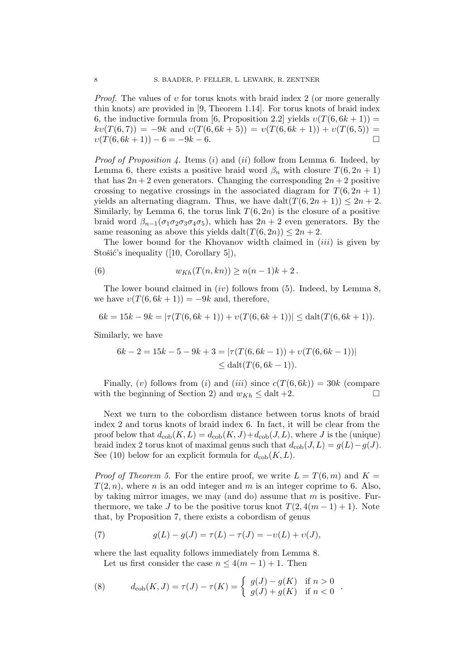*Proof.* The values of  $v$  for torus knots with braid index 2 (or more generally thin knots) are provided in [\[9,](#page-9-3) Theorem 1.14]. For torus knots of braid index 6, the inductive formula from [\[6,](#page-9-9) Proposition 2.2] yields  $v(T(6, 6k+1)) =$  $kv(T(6, 7)) = -9k$  and  $v(T(6, 6k + 5)) = v(T(6, 6k + 1)) + v(T(6, 5)) =$  $v(T(6, 6k+1)) - 6 = -9k - 6.$ 

*Proof of [Proposition 4.](#page-1-0)* Items (i) and (ii) follow from [Lemma 6.](#page-4-4) Indeed, by [Lemma 6,](#page-4-4) there exists a positive braid word  $\beta_n$  with closure  $T(6, 2n + 1)$ that has  $2n + 2$  even generators. Changing the corresponding  $2n + 2$  positive crossing to negative crossings in the associated diagram for  $T(6, 2n + 1)$ yields an alternating diagram. Thus, we have dalt $(T(6, 2n + 1)) \leq 2n + 2$ . Similarly, by [Lemma 6,](#page-4-4) the torus link  $T(6, 2n)$  is the closure of a positive braid word  $\beta_{n-1}(\sigma_1\sigma_2\sigma_3\sigma_4\sigma_5)$ , which has  $2n+2$  even generators. By the same reasoning as above this yields dalt $(T(6, 2n)) \leq 2n + 2$ .

The lower bound for the Khovanov width claimed in *(iii)* is given by Stošić's inequality  $([10, Corollary 5]),$  $([10, Corollary 5]),$  $([10, Corollary 5]),$ 

<span id="page-7-0"></span>(6) 
$$
w_{Kh}(T(n, kn)) \geq n(n-1)k+2.
$$

The lower bound claimed in  $(iv)$  follows from  $(5)$ . Indeed, by [Lemma 8,](#page-6-1) we have  $v(T(6, 6k + 1)) = -9k$  and, therefore,

$$
6k = 15k - 9k = |\tau(T(6, 6k + 1)) + \upsilon(T(6, 6k + 1))| \leq \text{dalt}(T(6, 6k + 1)).
$$

Similarly, we have

$$
6k - 2 = 15k - 5 - 9k + 3 = |\tau(T(6, 6k - 1)) + \upsilon(T(6, 6k - 1))|
$$
  
\n
$$
\leq \text{dalt}(T(6, 6k - 1)).
$$

Finally, (v) follows from (i) and (iii) since  $c(T(6, 6k)) = 30k$  (compare with the beginning of [Section 2\)](#page-2-1) and  $w_{Kh} \leq$  dalt +2.

Next we turn to the cobordism distance between torus knots of braid index 2 and torus knots of braid index 6. In fact, it will be clear from the proof below that  $d_{\text{cob}}(K, L) = d_{\text{cob}}(K, J) + d_{\text{cob}}(J, L)$ , where J is the (unique) braid index 2 torus knot of maximal genus such that  $d_{\text{cob}}(J, L) = g(L) - g(J)$ . See [\(10\)](#page-8-0) below for an explicit formula for  $d_{\rm{cob}}(K, L)$ .

*Proof of [Theorem 5.](#page-1-1)* For the entire proof, we write  $L = T(6, m)$  and  $K =$  $T(2, n)$ , where n is an odd integer and m is an integer coprime to 6. Also, by taking mirror images, we may (and do) assume that  $m$  is positive. Furthermore, we take J to be the positive torus knot  $T(2, 4(m-1)+1)$ . Note that, by [Proposition 7,](#page-5-1) there exists a cobordism of genus

<span id="page-7-2"></span>(7) 
$$
g(L) - g(J) = \tau(L) - \tau(J) = -v(L) + v(J),
$$

where the last equality follows immediately from [Lemma 8.](#page-6-1)

<span id="page-7-1"></span>Let us first consider the case  $n \leq 4(m-1)+1$ . Then

(8) 
$$
d_{\rm cob}(K, J) = \tau(J) - \tau(K) = \begin{cases} g(J) - g(K) & \text{if } n > 0 \\ g(J) + g(K) & \text{if } n < 0 \end{cases}.
$$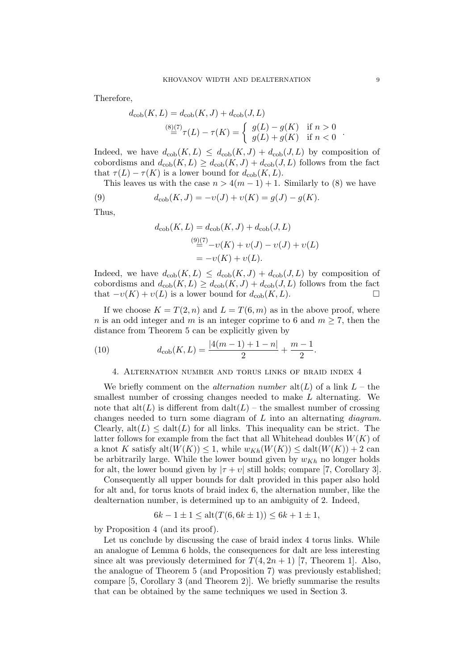Therefore,

$$
d_{\rm{cob}}(K, L) = d_{\rm{cob}}(K, J) + d_{\rm{cob}}(J, L)
$$
  

$$
\stackrel{(8)(7)}{=} \tau(L) - \tau(K) = \begin{cases} g(L) - g(K) & \text{if } n > 0 \\ g(L) + g(K) & \text{if } n < 0 \end{cases}
$$

Indeed, we have  $d_{\text{cob}}(K, L) \leq d_{\text{cob}}(K, J) + d_{\text{cob}}(J, L)$  by composition of cobordisms and  $d_{\text{cob}}(K, L) \geq d_{\text{cob}}(K, J) + d_{\text{cob}}(J, L)$  follows from the fact that  $\tau(L) - \tau(K)$  is a lower bound for  $d_{\text{cob}}(K, L)$ .

This leaves us with the case  $n > 4(m - 1) + 1$ . Similarly to [\(8\)](#page-7-1) we have (9)  $d_{\text{cob}}(K, J) = -v(J) + v(K) = g(J) - g(K).$ 

$$
u_{\text{cob}}(\mathbf{R},J) = -v(J) + v(\mathbf{R}) - g(J)
$$

Thus,

<span id="page-8-2"></span>
$$
d_{\rm cob}(K, L) = d_{\rm cob}(K, J) + d_{\rm cob}(J, L)
$$
  

$$
\stackrel{(9)(7)}{=} -v(K) + v(J) - v(J) + v(L)
$$
  

$$
= -v(K) + v(L).
$$

Indeed, we have  $d_{\text{cob}}(K, L) \leq d_{\text{cob}}(K, J) + d_{\text{cob}}(J, L)$  by composition of cobordisms and  $d_{\text{cob}}(K, L) \geq d_{\text{cob}}(K, J) + d_{\text{cob}}(J, L)$  follows from the fact that  $-v(K) + v(L)$  is a lower bound for  $d_{\text{coh}}(K, L)$ .

If we choose  $K = T(2, n)$  and  $L = T(6, m)$  as in the above proof, where *n* is an odd integer and *m* is an integer coprime to 6 and  $m \ge 7$ , then the distance from [Theorem 5](#page-1-1) can be explicitly given by

(10) 
$$
d_{\rm cob}(K,L) = \frac{|4(m-1)+1-n|}{2} + \frac{m-1}{2}.
$$

### <span id="page-8-0"></span>4. Alternation number and torus links of braid index 4

<span id="page-8-1"></span>We briefly comment on the *alternation number*  $alt(L)$  of a link  $L$  – the smallest number of crossing changes needed to make L alternating. We note that  $\text{alt}(L)$  is different from  $\text{alt}(L)$  – the smallest number of crossing changes needed to turn some diagram of  $L$  into an alternating *diagram*. Clearly,  $\text{alt}(L) \leq \text{dat}(L)$  for all links. This inequality can be strict. The latter follows for example from the fact that all Whitehead doubles  $W(K)$  of a knot K satisfy  $\text{alt}(W(K)) \leq 1$ , while  $w_{Kh}(W(K)) \leq \text{datt}(W(K)) + 2$  can be arbitrarily large. While the lower bound given by  $w_{Kh}$  no longer holds for alt, the lower bound given by  $|\tau + \nu|$  still holds; compare [\[7,](#page-9-8) Corollary 3].

Consequently all upper bounds for dalt provided in this paper also hold for alt and, for torus knots of braid index 6, the alternation number, like the dealternation number, is determined up to an ambiguity of 2. Indeed,

$$
6k - 1 \pm 1 \le alt(T(6, 6k \pm 1)) \le 6k + 1 \pm 1,
$$

by [Proposition 4](#page-1-0) (and its proof).

Let us conclude by discussing the case of braid index 4 torus links. While an analogue of [Lemma 6](#page-4-4) holds, the consequences for dalt are less interesting since alt was previously determined for  $T(4, 2n + 1)$  [\[7,](#page-9-8) Theorem 1]. Also, the analogue of [Theorem 5](#page-1-1) (and [Proposition 7\)](#page-5-1) was previously established; compare [\[5,](#page-9-10) Corollary 3 (and Theorem 2)]. We briefly summarise the results that can be obtained by the same techniques we used in [Section 3.](#page-4-0)

.